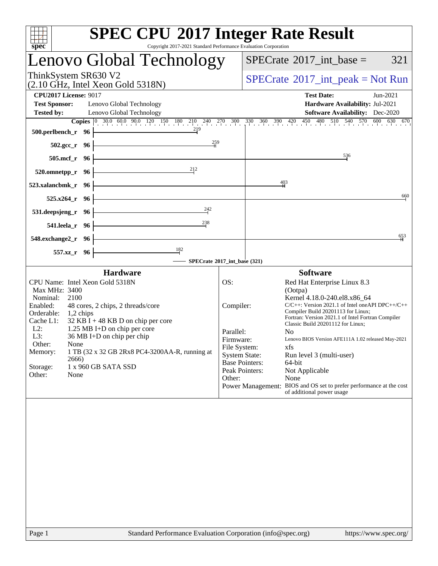| $spec^*$                                                                                                                                                                                                                                                                                                                                                                                                                                                       | <b>SPEC CPU®2017 Integer Rate Result</b><br>Copyright 2017-2021 Standard Performance Evaluation Corporation                                                                                                                                                                                                                                                                                                                                                                                                                                                                                                                                                                        |
|----------------------------------------------------------------------------------------------------------------------------------------------------------------------------------------------------------------------------------------------------------------------------------------------------------------------------------------------------------------------------------------------------------------------------------------------------------------|------------------------------------------------------------------------------------------------------------------------------------------------------------------------------------------------------------------------------------------------------------------------------------------------------------------------------------------------------------------------------------------------------------------------------------------------------------------------------------------------------------------------------------------------------------------------------------------------------------------------------------------------------------------------------------|
| Lenovo Global Technology                                                                                                                                                                                                                                                                                                                                                                                                                                       | $SPECrate^{\circ}2017\_int\_base =$<br>321                                                                                                                                                                                                                                                                                                                                                                                                                                                                                                                                                                                                                                         |
| ThinkSystem SR630 V2<br>(2.10 GHz, Intel Xeon Gold 5318N)                                                                                                                                                                                                                                                                                                                                                                                                      | $SPECrate^{\circledast}2017\_int\_peak = Not Run$                                                                                                                                                                                                                                                                                                                                                                                                                                                                                                                                                                                                                                  |
| <b>CPU2017 License: 9017</b><br><b>Test Sponsor:</b><br>Lenovo Global Technology<br>Lenovo Global Technology<br><b>Tested by:</b>                                                                                                                                                                                                                                                                                                                              | <b>Test Date:</b><br>Jun-2021<br>Hardware Availability: Jul-2021<br><b>Software Availability:</b> Dec-2020                                                                                                                                                                                                                                                                                                                                                                                                                                                                                                                                                                         |
| <b>Copies</b> $\begin{bmatrix} 0 & 30.0 & 60.0 & 90.0 & 120 & 150 & 180 & 210 & 240 & 270 \end{bmatrix}$ 300<br>219<br>500.perlbench_r 96                                                                                                                                                                                                                                                                                                                      | $330$ $360$ $390$ $420$ $450$ $480$ $510$ $540$ $570$ $600$ $630$ $670$                                                                                                                                                                                                                                                                                                                                                                                                                                                                                                                                                                                                            |
| $\frac{259}{25}$<br>$502.\mathrm{gcc}$ <sub>r</sub><br>- 96                                                                                                                                                                                                                                                                                                                                                                                                    |                                                                                                                                                                                                                                                                                                                                                                                                                                                                                                                                                                                                                                                                                    |
| $505$ .mcf_r<br>- 96<br>212                                                                                                                                                                                                                                                                                                                                                                                                                                    | 536                                                                                                                                                                                                                                                                                                                                                                                                                                                                                                                                                                                                                                                                                |
| 520.omnetpp_r<br>96<br>523.xalancbmk_r<br>96                                                                                                                                                                                                                                                                                                                                                                                                                   | 403                                                                                                                                                                                                                                                                                                                                                                                                                                                                                                                                                                                                                                                                                |
| 525.x264<br>96                                                                                                                                                                                                                                                                                                                                                                                                                                                 | 660                                                                                                                                                                                                                                                                                                                                                                                                                                                                                                                                                                                                                                                                                |
| 242<br>531.deepsjeng_r<br>96                                                                                                                                                                                                                                                                                                                                                                                                                                   |                                                                                                                                                                                                                                                                                                                                                                                                                                                                                                                                                                                                                                                                                    |
| 238<br>541.leela_r<br>- 96                                                                                                                                                                                                                                                                                                                                                                                                                                     |                                                                                                                                                                                                                                                                                                                                                                                                                                                                                                                                                                                                                                                                                    |
| 548.exchange2_r<br>- 96                                                                                                                                                                                                                                                                                                                                                                                                                                        | 653                                                                                                                                                                                                                                                                                                                                                                                                                                                                                                                                                                                                                                                                                |
| $\frac{182}{ }$<br>557.xz_r<br>96                                                                                                                                                                                                                                                                                                                                                                                                                              | SPECrate®2017_int_base (321)                                                                                                                                                                                                                                                                                                                                                                                                                                                                                                                                                                                                                                                       |
| <b>Hardware</b><br>CPU Name: Intel Xeon Gold 5318N<br>Max MHz: 3400<br>2100<br>Nominal:<br>Enabled:<br>48 cores, 2 chips, 2 threads/core<br>Orderable:<br>1,2 chips<br>Cache L1:<br>$32$ KB I + 48 KB D on chip per core<br>$L2$ :<br>1.25 MB I+D on chip per core<br>L3:<br>$36 \text{ MB}$ I+D on chip per chip<br>Other:<br>None<br>Memory:<br>1 TB (32 x 32 GB 2Rx8 PC4-3200AA-R, running at<br>2666)<br>1 x 960 GB SATA SSD<br>Storage:<br>Other:<br>None | <b>Software</b><br>OS:<br>Red Hat Enterprise Linux 8.3<br>(Ootpa)<br>Kernel 4.18.0-240.el8.x86 64<br>Compiler:<br>$C/C++$ : Version 2021.1 of Intel one API DPC $++/C++$<br>Compiler Build 20201113 for Linux;<br>Fortran: Version 2021.1 of Intel Fortran Compiler<br>Classic Build 20201112 for Linux;<br>Parallel:<br>N <sub>0</sub><br>Firmware:<br>Lenovo BIOS Version AFE111A 1.02 released May-2021<br>File System:<br>xfs<br><b>System State:</b><br>Run level 3 (multi-user)<br><b>Base Pointers:</b><br>64-bit<br>Peak Pointers:<br>Not Applicable<br>None<br>Other:<br>Power Management: BIOS and OS set to prefer performance at the cost<br>of additional power usage |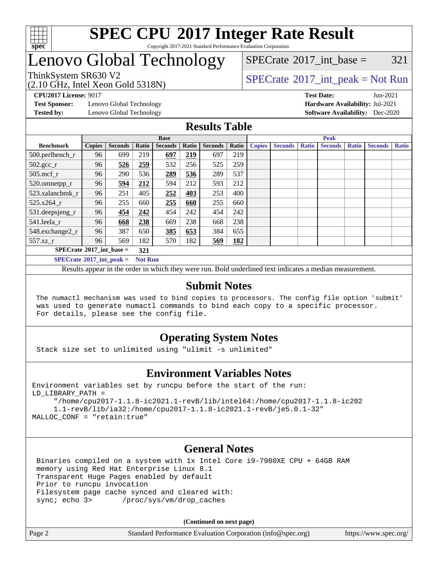

### Lenovo Global Technology

[SPECrate](http://www.spec.org/auto/cpu2017/Docs/result-fields.html#SPECrate2017intbase)<sup>®</sup>2017 int base =  $321$ 

(2.10 GHz, Intel Xeon Gold 5318N)

ThinkSystem SR630 V2<br>  $\begin{array}{c} \text{SPECTB} \\ \text{SPECTB} \\ \text{SOLUTION} \end{array}$  [SPECrate](http://www.spec.org/auto/cpu2017/Docs/result-fields.html#SPECrate2017intpeak)®[2017\\_int\\_peak = N](http://www.spec.org/auto/cpu2017/Docs/result-fields.html#SPECrate2017intpeak)ot Run

**[Test Sponsor:](http://www.spec.org/auto/cpu2017/Docs/result-fields.html#TestSponsor)** Lenovo Global Technology **[Hardware Availability:](http://www.spec.org/auto/cpu2017/Docs/result-fields.html#HardwareAvailability)** Jul-2021

**[CPU2017 License:](http://www.spec.org/auto/cpu2017/Docs/result-fields.html#CPU2017License)** 9017 **[Test Date:](http://www.spec.org/auto/cpu2017/Docs/result-fields.html#TestDate)** Jun-2021 **[Tested by:](http://www.spec.org/auto/cpu2017/Docs/result-fields.html#Testedby)** Lenovo Global Technology **[Software Availability:](http://www.spec.org/auto/cpu2017/Docs/result-fields.html#SoftwareAvailability)** Dec-2020

### **[Results Table](http://www.spec.org/auto/cpu2017/Docs/result-fields.html#ResultsTable)**

|                                                     | <b>Base</b>   |                |       |                | <b>Peak</b> |                |       |               |                |              |                |              |                |              |
|-----------------------------------------------------|---------------|----------------|-------|----------------|-------------|----------------|-------|---------------|----------------|--------------|----------------|--------------|----------------|--------------|
| <b>Benchmark</b>                                    | <b>Copies</b> | <b>Seconds</b> | Ratio | <b>Seconds</b> | Ratio       | <b>Seconds</b> | Ratio | <b>Copies</b> | <b>Seconds</b> | <b>Ratio</b> | <b>Seconds</b> | <b>Ratio</b> | <b>Seconds</b> | <b>Ratio</b> |
| $500.$ perlbench_r                                  | 96            | 699            | 219   | 697            | 219         | 697            | 219   |               |                |              |                |              |                |              |
| $502.\text{gcc}_r$                                  | 96            | 526            | 259   | 532            | 256         | 525            | 259   |               |                |              |                |              |                |              |
| $505$ .mcf $r$                                      | 96            | 290            | 536   | 289            | 536         | 289            | 537   |               |                |              |                |              |                |              |
| 520.omnetpp_r                                       | 96            | 594            | 212   | 594            | 212         | 593            | 212   |               |                |              |                |              |                |              |
| 523.xalancbmk_r                                     | 96            | 251            | 405   | 252            | 403         | 253            | 400   |               |                |              |                |              |                |              |
| 525.x264 r                                          | 96            | 255            | 660   | 255            | 660         | 255            | 660   |               |                |              |                |              |                |              |
| 531.deepsjeng_r                                     | 96            | 454            | 242   | 454            | 242         | 454            | 242   |               |                |              |                |              |                |              |
| 541.leela r                                         | 96            | 668            | 238   | 669            | 238         | 668            | 238   |               |                |              |                |              |                |              |
| 548.exchange2_r                                     | 96            | 387            | 650   | 385            | 653         | 384            | 655   |               |                |              |                |              |                |              |
| 557.xz r                                            | 96            | 569            | 182   | 570            | 182         | 569            | 182   |               |                |              |                |              |                |              |
| $SPECrate^{\circ}2017$ int base =<br>321            |               |                |       |                |             |                |       |               |                |              |                |              |                |              |
| $SPECrate^{\circ}2017$ int peak =<br><b>Not Run</b> |               |                |       |                |             |                |       |               |                |              |                |              |                |              |

Results appear in the [order in which they were run](http://www.spec.org/auto/cpu2017/Docs/result-fields.html#RunOrder). Bold underlined text [indicates a median measurement](http://www.spec.org/auto/cpu2017/Docs/result-fields.html#Median).

#### **[Submit Notes](http://www.spec.org/auto/cpu2017/Docs/result-fields.html#SubmitNotes)**

 The numactl mechanism was used to bind copies to processors. The config file option 'submit' was used to generate numactl commands to bind each copy to a specific processor. For details, please see the config file.

### **[Operating System Notes](http://www.spec.org/auto/cpu2017/Docs/result-fields.html#OperatingSystemNotes)**

Stack size set to unlimited using "ulimit -s unlimited"

#### **[Environment Variables Notes](http://www.spec.org/auto/cpu2017/Docs/result-fields.html#EnvironmentVariablesNotes)**

Environment variables set by runcpu before the start of the run: LD\_LIBRARY\_PATH =

 "/home/cpu2017-1.1.8-ic2021.1-revB/lib/intel64:/home/cpu2017-1.1.8-ic202 1.1-revB/lib/ia32:/home/cpu2017-1.1.8-ic2021.1-revB/je5.0.1-32" MALLOC\_CONF = "retain:true"

#### **[General Notes](http://www.spec.org/auto/cpu2017/Docs/result-fields.html#GeneralNotes)**

 Binaries compiled on a system with 1x Intel Core i9-7980XE CPU + 64GB RAM memory using Red Hat Enterprise Linux 8.1 Transparent Huge Pages enabled by default Prior to runcpu invocation Filesystem page cache synced and cleared with: sync; echo 3> /proc/sys/vm/drop\_caches

**(Continued on next page)**

| Page 2 | Standard Performance Evaluation Corporation (info@spec.org) | https://www.spec.org/ |
|--------|-------------------------------------------------------------|-----------------------|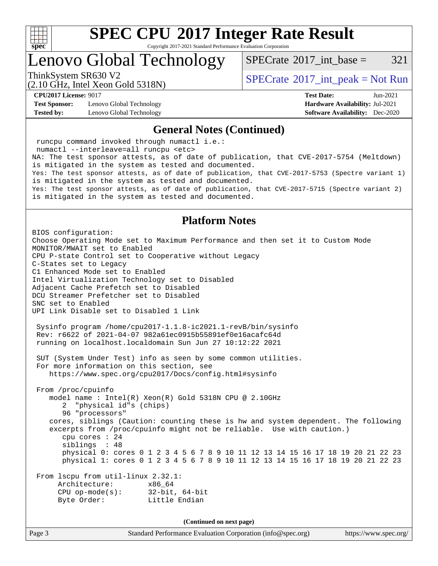

Copyright 2017-2021 Standard Performance Evaluation Corporation

### Lenovo Global Technology

 $SPECTate^{\circledast}2017$  int base = 321

(2.10 GHz, Intel Xeon Gold 5318N)

ThinkSystem SR630 V2<br>  $\begin{array}{c} \text{SPECTate} \textcircled{2017\_int\_peak} = \text{Not Run} \end{array}$ 

**[Test Sponsor:](http://www.spec.org/auto/cpu2017/Docs/result-fields.html#TestSponsor)** Lenovo Global Technology **[Hardware Availability:](http://www.spec.org/auto/cpu2017/Docs/result-fields.html#HardwareAvailability)** Jul-2021 **[Tested by:](http://www.spec.org/auto/cpu2017/Docs/result-fields.html#Testedby)** Lenovo Global Technology **[Software Availability:](http://www.spec.org/auto/cpu2017/Docs/result-fields.html#SoftwareAvailability)** Dec-2020

**[CPU2017 License:](http://www.spec.org/auto/cpu2017/Docs/result-fields.html#CPU2017License)** 9017 **[Test Date:](http://www.spec.org/auto/cpu2017/Docs/result-fields.html#TestDate)** Jun-2021

#### **[General Notes \(Continued\)](http://www.spec.org/auto/cpu2017/Docs/result-fields.html#GeneralNotes)**

 runcpu command invoked through numactl i.e.: numactl --interleave=all runcpu <etc> NA: The test sponsor attests, as of date of publication, that CVE-2017-5754 (Meltdown) is mitigated in the system as tested and documented. Yes: The test sponsor attests, as of date of publication, that CVE-2017-5753 (Spectre variant 1) is mitigated in the system as tested and documented. Yes: The test sponsor attests, as of date of publication, that CVE-2017-5715 (Spectre variant 2) is mitigated in the system as tested and documented.

### **[Platform Notes](http://www.spec.org/auto/cpu2017/Docs/result-fields.html#PlatformNotes)**

BIOS configuration: Choose Operating Mode set to Maximum Performance and then set it to Custom Mode MONITOR/MWAIT set to Enabled CPU P-state Control set to Cooperative without Legacy C-States set to Legacy C1 Enhanced Mode set to Enabled Intel Virtualization Technology set to Disabled Adjacent Cache Prefetch set to Disabled DCU Streamer Prefetcher set to Disabled SNC set to Enabled UPI Link Disable set to Disabled 1 Link Sysinfo program /home/cpu2017-1.1.8-ic2021.1-revB/bin/sysinfo Rev: r6622 of 2021-04-07 982a61ec0915b55891ef0e16acafc64d running on localhost.localdomain Sun Jun 27 10:12:22 2021 SUT (System Under Test) info as seen by some common utilities. For more information on this section, see <https://www.spec.org/cpu2017/Docs/config.html#sysinfo> From /proc/cpuinfo model name : Intel(R) Xeon(R) Gold 5318N CPU @ 2.10GHz 2 "physical id"s (chips) 96 "processors" cores, siblings (Caution: counting these is hw and system dependent. The following excerpts from /proc/cpuinfo might not be reliable. Use with caution.) cpu cores : 24 siblings : 48 physical 0: cores 0 1 2 3 4 5 6 7 8 9 10 11 12 13 14 15 16 17 18 19 20 21 22 23 physical 1: cores 0 1 2 3 4 5 6 7 8 9 10 11 12 13 14 15 16 17 18 19 20 21 22 23 From lscpu from util-linux 2.32.1: Architecture: x86\_64 CPU op-mode(s): 32-bit, 64-bit Byte Order: Little Endian

**(Continued on next page)**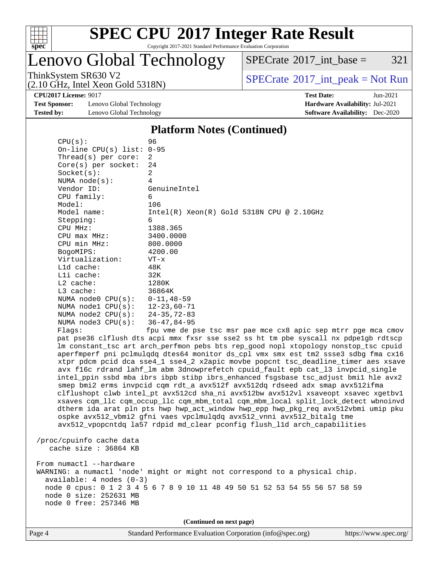

Copyright 2017-2021 Standard Performance Evaluation Corporation

Lenovo Global Technology

 $SPECTate@2017_int\_base = 321$ 

(2.10 GHz, Intel Xeon Gold 5318N)

ThinkSystem SR630 V2<br>  $(2.10 \text{ GHz. Intel } Y_{\text{QCD}}$  Gold 5318N)

**[Test Sponsor:](http://www.spec.org/auto/cpu2017/Docs/result-fields.html#TestSponsor)** Lenovo Global Technology **[Hardware Availability:](http://www.spec.org/auto/cpu2017/Docs/result-fields.html#HardwareAvailability)** Jul-2021 **[Tested by:](http://www.spec.org/auto/cpu2017/Docs/result-fields.html#Testedby)** Lenovo Global Technology **[Software Availability:](http://www.spec.org/auto/cpu2017/Docs/result-fields.html#SoftwareAvailability)** Dec-2020

**[CPU2017 License:](http://www.spec.org/auto/cpu2017/Docs/result-fields.html#CPU2017License)** 9017 **[Test Date:](http://www.spec.org/auto/cpu2017/Docs/result-fields.html#TestDate)** Jun-2021

#### **[Platform Notes \(Continued\)](http://www.spec.org/auto/cpu2017/Docs/result-fields.html#PlatformNotes)**

| CPU(s):                                                                                                 | 96                                                                                                                                                                                                                                                                                                                                                                                                                                                                                                                                                                                                                                                                                                                                                                                                                                                                                                                                                                                                                                      |
|---------------------------------------------------------------------------------------------------------|-----------------------------------------------------------------------------------------------------------------------------------------------------------------------------------------------------------------------------------------------------------------------------------------------------------------------------------------------------------------------------------------------------------------------------------------------------------------------------------------------------------------------------------------------------------------------------------------------------------------------------------------------------------------------------------------------------------------------------------------------------------------------------------------------------------------------------------------------------------------------------------------------------------------------------------------------------------------------------------------------------------------------------------------|
| On-line CPU(s) list: $0-95$                                                                             |                                                                                                                                                                                                                                                                                                                                                                                                                                                                                                                                                                                                                                                                                                                                                                                                                                                                                                                                                                                                                                         |
| Thread( $s$ ) per core:                                                                                 | 2                                                                                                                                                                                                                                                                                                                                                                                                                                                                                                                                                                                                                                                                                                                                                                                                                                                                                                                                                                                                                                       |
| $Core(s)$ per socket:                                                                                   | 24                                                                                                                                                                                                                                                                                                                                                                                                                                                                                                                                                                                                                                                                                                                                                                                                                                                                                                                                                                                                                                      |
| Socket(s):                                                                                              | 2                                                                                                                                                                                                                                                                                                                                                                                                                                                                                                                                                                                                                                                                                                                                                                                                                                                                                                                                                                                                                                       |
| NUMA node(s):<br>Vendor ID:                                                                             | 4<br>GenuineIntel                                                                                                                                                                                                                                                                                                                                                                                                                                                                                                                                                                                                                                                                                                                                                                                                                                                                                                                                                                                                                       |
| CPU family:                                                                                             | 6                                                                                                                                                                                                                                                                                                                                                                                                                                                                                                                                                                                                                                                                                                                                                                                                                                                                                                                                                                                                                                       |
| Model:                                                                                                  | 106                                                                                                                                                                                                                                                                                                                                                                                                                                                                                                                                                                                                                                                                                                                                                                                                                                                                                                                                                                                                                                     |
| Model name:                                                                                             | $Intel(R) Xeon(R) Gold 5318N CPU @ 2.10GHz$                                                                                                                                                                                                                                                                                                                                                                                                                                                                                                                                                                                                                                                                                                                                                                                                                                                                                                                                                                                             |
| Stepping:                                                                                               | 6                                                                                                                                                                                                                                                                                                                                                                                                                                                                                                                                                                                                                                                                                                                                                                                                                                                                                                                                                                                                                                       |
| CPU MHz:                                                                                                | 1388.365                                                                                                                                                                                                                                                                                                                                                                                                                                                                                                                                                                                                                                                                                                                                                                                                                                                                                                                                                                                                                                |
| CPU max MHz:                                                                                            | 3400.0000                                                                                                                                                                                                                                                                                                                                                                                                                                                                                                                                                                                                                                                                                                                                                                                                                                                                                                                                                                                                                               |
| CPU min MHz:                                                                                            | 800.0000                                                                                                                                                                                                                                                                                                                                                                                                                                                                                                                                                                                                                                                                                                                                                                                                                                                                                                                                                                                                                                |
| BogoMIPS:                                                                                               | 4200.00                                                                                                                                                                                                                                                                                                                                                                                                                                                                                                                                                                                                                                                                                                                                                                                                                                                                                                                                                                                                                                 |
| Virtualization:                                                                                         | $VT - x$                                                                                                                                                                                                                                                                                                                                                                                                                                                                                                                                                                                                                                                                                                                                                                                                                                                                                                                                                                                                                                |
| L1d cache:                                                                                              | 48K                                                                                                                                                                                                                                                                                                                                                                                                                                                                                                                                                                                                                                                                                                                                                                                                                                                                                                                                                                                                                                     |
| Lli cache:                                                                                              | 32K                                                                                                                                                                                                                                                                                                                                                                                                                                                                                                                                                                                                                                                                                                                                                                                                                                                                                                                                                                                                                                     |
| L2 cache:                                                                                               | 1280K                                                                                                                                                                                                                                                                                                                                                                                                                                                                                                                                                                                                                                                                                                                                                                                                                                                                                                                                                                                                                                   |
| L3 cache:                                                                                               | 36864K                                                                                                                                                                                                                                                                                                                                                                                                                                                                                                                                                                                                                                                                                                                                                                                                                                                                                                                                                                                                                                  |
| NUMA node0 CPU(s):                                                                                      | 0-11,48-59                                                                                                                                                                                                                                                                                                                                                                                                                                                                                                                                                                                                                                                                                                                                                                                                                                                                                                                                                                                                                              |
| NUMA $node1$ $CPU(s):$                                                                                  | $12 - 23,60 - 71$                                                                                                                                                                                                                                                                                                                                                                                                                                                                                                                                                                                                                                                                                                                                                                                                                                                                                                                                                                                                                       |
| NUMA $node2$ $CPU(s):$                                                                                  | 24-35,72-83                                                                                                                                                                                                                                                                                                                                                                                                                                                                                                                                                                                                                                                                                                                                                                                                                                                                                                                                                                                                                             |
| NUMA $node3$ $CPU(s)$ :                                                                                 | 36-47,84-95                                                                                                                                                                                                                                                                                                                                                                                                                                                                                                                                                                                                                                                                                                                                                                                                                                                                                                                                                                                                                             |
| Flags:                                                                                                  | fpu vme de pse tsc msr pae mce cx8 apic sep mtrr pge mca cmov                                                                                                                                                                                                                                                                                                                                                                                                                                                                                                                                                                                                                                                                                                                                                                                                                                                                                                                                                                           |
|                                                                                                         | pat pse36 clflush dts acpi mmx fxsr sse sse2 ss ht tm pbe syscall nx pdpelgb rdtscp<br>lm constant_tsc art arch_perfmon pebs bts rep_good nopl xtopology nonstop_tsc cpuid<br>aperfmperf pni pclmulqdq dtes64 monitor ds_cpl vmx smx est tm2 ssse3 sdbg fma cx16<br>xtpr pdcm pcid dca sse4_1 sse4_2 x2apic movbe popcnt tsc_deadline_timer aes xsave<br>avx f16c rdrand lahf_lm abm 3dnowprefetch cpuid_fault epb cat_13 invpcid_single<br>intel_ppin ssbd mba ibrs ibpb stibp ibrs_enhanced fsgsbase tsc_adjust bmil hle avx2<br>smep bmi2 erms invpcid cqm rdt_a avx512f avx512dq rdseed adx smap avx512ifma<br>clflushopt clwb intel_pt avx512cd sha_ni avx512bw avx512vl xsaveopt xsavec xgetbvl<br>xsaves cqm_llc cqm_occup_llc cqm_mbm_total cqm_mbm_local split_lock_detect wbnoinvd<br>dtherm ida arat pln pts hwp hwp_act_window hwp_epp hwp_pkg_req avx512vbmi umip pku<br>ospke avx512_vbmi2 gfni vaes vpclmulqdq avx512_vnni avx512_bitalg tme<br>avx512_vpopcntdq la57 rdpid md_clear pconfig flush_11d arch_capabilities |
| /proc/cpuinfo cache data<br>cache size $: 36864$ KB                                                     |                                                                                                                                                                                                                                                                                                                                                                                                                                                                                                                                                                                                                                                                                                                                                                                                                                                                                                                                                                                                                                         |
| From numactl --hardware<br>available: 4 nodes (0-3)<br>node 0 size: 252631 MB<br>node 0 free: 257346 MB | WARNING: a numactl 'node' might or might not correspond to a physical chip.<br>node 0 cpus: 0 1 2 3 4 5 6 7 8 9 10 11 48 49 50 51 52 53 54 55 56 57 58 59                                                                                                                                                                                                                                                                                                                                                                                                                                                                                                                                                                                                                                                                                                                                                                                                                                                                               |
|                                                                                                         | (Continued on next page)                                                                                                                                                                                                                                                                                                                                                                                                                                                                                                                                                                                                                                                                                                                                                                                                                                                                                                                                                                                                                |
| $\cos A$                                                                                                | Standard Bartormango Evaluation Corneration (info@gnag.org)<br>http://www.                                                                                                                                                                                                                                                                                                                                                                                                                                                                                                                                                                                                                                                                                                                                                                                                                                                                                                                                                              |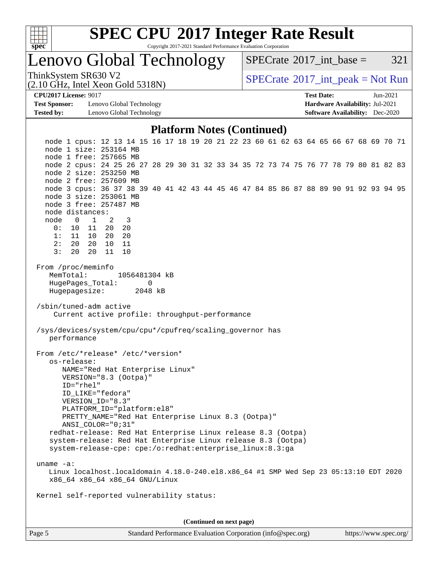

Copyright 2017-2021 Standard Performance Evaluation Corporation

Lenovo Global Technology

 $SPECTate@2017\_int\_base = 321$ 

(2.10 GHz, Intel Xeon Gold 5318N)

ThinkSystem SR630 V2<br>  $\begin{array}{c} \text{SPECTB} \\ \text{SPECTB} \\ \text{SCHS} \end{array}$  [SPECrate](http://www.spec.org/auto/cpu2017/Docs/result-fields.html#SPECrate2017intpeak)®[2017\\_int\\_peak = N](http://www.spec.org/auto/cpu2017/Docs/result-fields.html#SPECrate2017intpeak)ot Run

**[Test Sponsor:](http://www.spec.org/auto/cpu2017/Docs/result-fields.html#TestSponsor)** Lenovo Global Technology **[Hardware Availability:](http://www.spec.org/auto/cpu2017/Docs/result-fields.html#HardwareAvailability)** Jul-2021 **[Tested by:](http://www.spec.org/auto/cpu2017/Docs/result-fields.html#Testedby)** Lenovo Global Technology **[Software Availability:](http://www.spec.org/auto/cpu2017/Docs/result-fields.html#SoftwareAvailability)** Dec-2020

**[CPU2017 License:](http://www.spec.org/auto/cpu2017/Docs/result-fields.html#CPU2017License)** 9017 **[Test Date:](http://www.spec.org/auto/cpu2017/Docs/result-fields.html#TestDate)** Jun-2021

#### **[Platform Notes \(Continued\)](http://www.spec.org/auto/cpu2017/Docs/result-fields.html#PlatformNotes)**

 node 1 cpus: 12 13 14 15 16 17 18 19 20 21 22 23 60 61 62 63 64 65 66 67 68 69 70 71 node 1 size: 253164 MB node 1 free: 257665 MB node 2 cpus: 24 25 26 27 28 29 30 31 32 33 34 35 72 73 74 75 76 77 78 79 80 81 82 83 node 2 size: 253250 MB node 2 free: 257609 MB node 3 cpus: 36 37 38 39 40 41 42 43 44 45 46 47 84 85 86 87 88 89 90 91 92 93 94 95 node 3 size: 253061 MB node 3 free: 257487 MB node distances: node 0 1 2 3 0: 10 11 20 20 1: 11 10 20 20 2: 20 20 10 11 3: 20 20 11 10 From /proc/meminfo MemTotal: 1056481304 kB HugePages\_Total: 0 Hugepagesize: 2048 kB /sbin/tuned-adm active Current active profile: throughput-performance /sys/devices/system/cpu/cpu\*/cpufreq/scaling\_governor has performance From /etc/\*release\* /etc/\*version\* os-release: NAME="Red Hat Enterprise Linux" VERSION="8.3 (Ootpa)" ID="rhel" ID\_LIKE="fedora" VERSION\_ID="8.3" PLATFORM\_ID="platform:el8" PRETTY\_NAME="Red Hat Enterprise Linux 8.3 (Ootpa)" ANSI\_COLOR="0;31" redhat-release: Red Hat Enterprise Linux release 8.3 (Ootpa) system-release: Red Hat Enterprise Linux release 8.3 (Ootpa) system-release-cpe: cpe:/o:redhat:enterprise\_linux:8.3:ga uname -a: Linux localhost.localdomain 4.18.0-240.el8.x86\_64 #1 SMP Wed Sep 23 05:13:10 EDT 2020 x86\_64 x86\_64 x86\_64 GNU/Linux Kernel self-reported vulnerability status: **(Continued on next page)**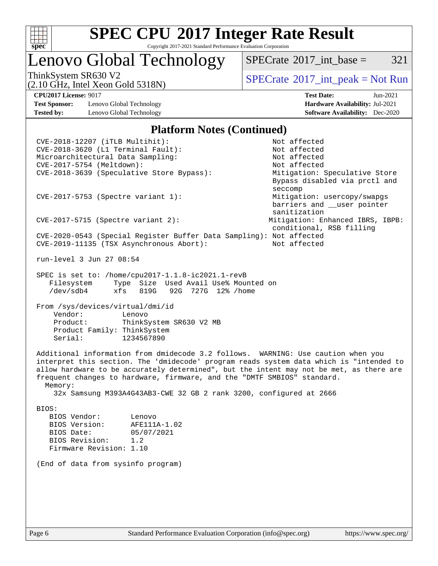

Lenovo Global Technology

 $SPECTate^{\circledast}2017$  int base = 321

(2.10 GHz, Intel Xeon Gold 5318N)

ThinkSystem SR630 V2<br>  $\begin{array}{c} \text{SPECTB} \\ \text{SPECTB} \\ \text{SCHS} \end{array}$  [SPECrate](http://www.spec.org/auto/cpu2017/Docs/result-fields.html#SPECrate2017intpeak)®[2017\\_int\\_peak = N](http://www.spec.org/auto/cpu2017/Docs/result-fields.html#SPECrate2017intpeak)ot Run

**[Test Sponsor:](http://www.spec.org/auto/cpu2017/Docs/result-fields.html#TestSponsor)** Lenovo Global Technology **[Hardware Availability:](http://www.spec.org/auto/cpu2017/Docs/result-fields.html#HardwareAvailability)** Jul-2021 **[Tested by:](http://www.spec.org/auto/cpu2017/Docs/result-fields.html#Testedby)** Lenovo Global Technology **[Software Availability:](http://www.spec.org/auto/cpu2017/Docs/result-fields.html#SoftwareAvailability)** Dec-2020

**[CPU2017 License:](http://www.spec.org/auto/cpu2017/Docs/result-fields.html#CPU2017License)** 9017 **[Test Date:](http://www.spec.org/auto/cpu2017/Docs/result-fields.html#TestDate)** Jun-2021

#### **[Platform Notes \(Continued\)](http://www.spec.org/auto/cpu2017/Docs/result-fields.html#PlatformNotes)**

 CVE-2018-12207 (iTLB Multihit): Not affected CVE-2018-3620 (L1 Terminal Fault): Not affected<br>Microarchitectural Data Sampling: Not affected Microarchitectural Data Sampling: CVE-2017-5754 (Meltdown): Not affected CVE-2018-3639 (Speculative Store Bypass): Mitigation: Speculative Store Bypass disabled via prctl and seccompany and the second second seconds of the second seconds of the seconds of the seconds of the seconds of CVE-2017-5753 (Spectre variant 1): Mitigation: usercopy/swapgs barriers and \_\_user pointer sanitization CVE-2017-5715 (Spectre variant 2): Mitigation: Enhanced IBRS, IBPB: conditional, RSB filling CVE-2020-0543 (Special Register Buffer Data Sampling): Not affected CVE-2019-11135 (TSX Asynchronous Abort): Not affected run-level 3 Jun 27 08:54 SPEC is set to: /home/cpu2017-1.1.8-ic2021.1-revB Filesystem Type Size Used Avail Use% Mounted on /dev/sdb4 xfs 819G 92G 727G 12% /home From /sys/devices/virtual/dmi/id Vendor: Lenovo Product: ThinkSystem SR630 V2 MB Product Family: ThinkSystem Serial: 1234567890 Additional information from dmidecode 3.2 follows. WARNING: Use caution when you interpret this section. The 'dmidecode' program reads system data which is "intended to allow hardware to be accurately determined", but the intent may not be met, as there are frequent changes to hardware, firmware, and the "DMTF SMBIOS" standard. Memory: 32x Samsung M393A4G43AB3-CWE 32 GB 2 rank 3200, configured at 2666 BIOS: BIOS Vendor: Lenovo BIOS Version: AFE111A-1.02 BIOS Date: 05/07/2021 BIOS Revision: 1.2 Firmware Revision: 1.10 (End of data from sysinfo program)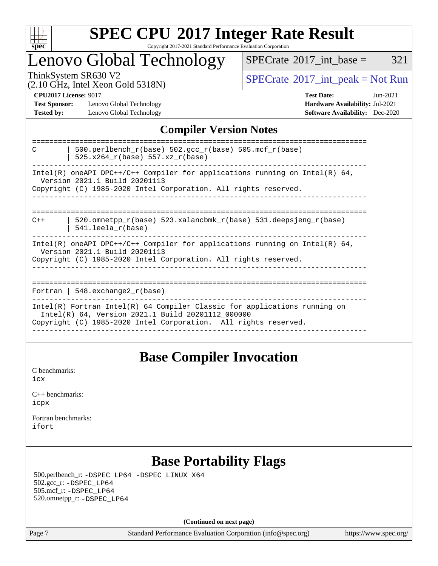

### Lenovo Global Technology

 $SPECTate$ <sup>®</sup>[2017\\_int\\_base =](http://www.spec.org/auto/cpu2017/Docs/result-fields.html#SPECrate2017intbase) 321

(2.10 GHz, Intel Xeon Gold 5318N)

ThinkSystem SR630 V2<br>  $\begin{array}{c}\n\text{SPECrate} \textcirc 2017\_int\_peak = Not Run \\
\text{SPECrate} \textcirc 2017\_int\_peak = Not Run\n\end{array}$  $\begin{array}{c}\n\text{SPECrate} \textcirc 2017\_int\_peak = Not Run \\
\text{SPECrate} \textcirc 2017\_int\_peak = Not Run\n\end{array}$  $\begin{array}{c}\n\text{SPECrate} \textcirc 2017\_int\_peak = Not Run \\
\text{SPECrate} \textcirc 2017\_int\_peak = Not Run\n\end{array}$ 

**[Test Sponsor:](http://www.spec.org/auto/cpu2017/Docs/result-fields.html#TestSponsor)** Lenovo Global Technology **[Hardware Availability:](http://www.spec.org/auto/cpu2017/Docs/result-fields.html#HardwareAvailability)** Jul-2021 **[Tested by:](http://www.spec.org/auto/cpu2017/Docs/result-fields.html#Testedby)** Lenovo Global Technology **[Software Availability:](http://www.spec.org/auto/cpu2017/Docs/result-fields.html#SoftwareAvailability)** Dec-2020

**[CPU2017 License:](http://www.spec.org/auto/cpu2017/Docs/result-fields.html#CPU2017License)** 9017 **[Test Date:](http://www.spec.org/auto/cpu2017/Docs/result-fields.html#TestDate)** Jun-2021

### **[Compiler Version Notes](http://www.spec.org/auto/cpu2017/Docs/result-fields.html#CompilerVersionNotes)**

| 500.perlbench $r(base)$ 502.qcc $r(base)$ 505.mcf $r(base)$<br>C<br>$525.x264_r(base) 557.xz_r(base)$                                                                                               |
|-----------------------------------------------------------------------------------------------------------------------------------------------------------------------------------------------------|
| Intel(R) oneAPI DPC++/C++ Compiler for applications running on Intel(R) $64$ ,<br>Version 2021.1 Build 20201113<br>Copyright (C) 1985-2020 Intel Corporation. All rights reserved.                  |
| 520.omnetpp $r(base)$ 523.xalancbmk $r(base)$ 531.deepsjeng $r(base)$<br>$C++$<br>$541.$ leela r(base)                                                                                              |
| Intel(R) oneAPI DPC++/C++ Compiler for applications running on Intel(R) $64$ ,<br>Version 2021.1 Build 20201113<br>Copyright (C) 1985-2020 Intel Corporation. All rights reserved.                  |
| Fortran   $548$ . exchange $2r$ (base)                                                                                                                                                              |
| $Intel(R)$ Fortran Intel(R) 64 Compiler Classic for applications running on<br>Intel(R) 64, Version 2021.1 Build 20201112_000000<br>Copyright (C) 1985-2020 Intel Corporation. All rights reserved. |

### **[Base Compiler Invocation](http://www.spec.org/auto/cpu2017/Docs/result-fields.html#BaseCompilerInvocation)**

[C benchmarks](http://www.spec.org/auto/cpu2017/Docs/result-fields.html#Cbenchmarks): [icx](http://www.spec.org/cpu2017/results/res2021q3/cpu2017-20210705-28043.flags.html#user_CCbase_intel_icx_fe2d28d19ae2a5db7c42fe0f2a2aed77cb715edd4aeb23434404a8be6683fe239869bb6ca8154ca98265c2e3b9226a719a0efe2953a4a7018c379b7010ccf087)

| $C_{++}$ benchmarks: |  |
|----------------------|--|
| icpx                 |  |

[Fortran benchmarks](http://www.spec.org/auto/cpu2017/Docs/result-fields.html#Fortranbenchmarks): [ifort](http://www.spec.org/cpu2017/results/res2021q3/cpu2017-20210705-28043.flags.html#user_FCbase_intel_ifort_8111460550e3ca792625aed983ce982f94888b8b503583aa7ba2b8303487b4d8a21a13e7191a45c5fd58ff318f48f9492884d4413fa793fd88dd292cad7027ca)

### **[Base Portability Flags](http://www.spec.org/auto/cpu2017/Docs/result-fields.html#BasePortabilityFlags)**

 500.perlbench\_r: [-DSPEC\\_LP64](http://www.spec.org/cpu2017/results/res2021q3/cpu2017-20210705-28043.flags.html#b500.perlbench_r_basePORTABILITY_DSPEC_LP64) [-DSPEC\\_LINUX\\_X64](http://www.spec.org/cpu2017/results/res2021q3/cpu2017-20210705-28043.flags.html#b500.perlbench_r_baseCPORTABILITY_DSPEC_LINUX_X64) 502.gcc\_r: [-DSPEC\\_LP64](http://www.spec.org/cpu2017/results/res2021q3/cpu2017-20210705-28043.flags.html#suite_basePORTABILITY502_gcc_r_DSPEC_LP64) 505.mcf\_r: [-DSPEC\\_LP64](http://www.spec.org/cpu2017/results/res2021q3/cpu2017-20210705-28043.flags.html#suite_basePORTABILITY505_mcf_r_DSPEC_LP64) 520.omnetpp\_r: [-DSPEC\\_LP64](http://www.spec.org/cpu2017/results/res2021q3/cpu2017-20210705-28043.flags.html#suite_basePORTABILITY520_omnetpp_r_DSPEC_LP64)

**(Continued on next page)**

Page 7 Standard Performance Evaluation Corporation [\(info@spec.org\)](mailto:info@spec.org) <https://www.spec.org/>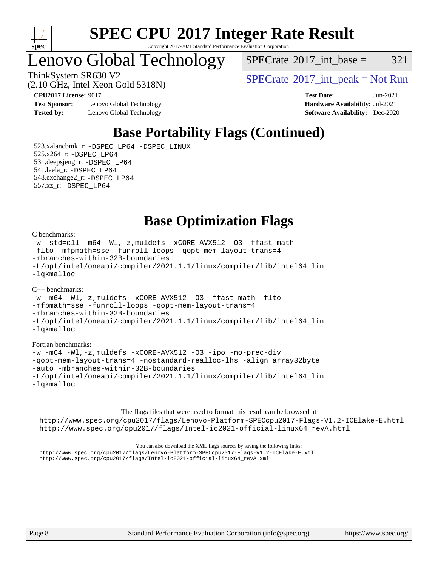

Lenovo Global Technology

 $SPECTate@2017\_int\_base = 321$ 

(2.10 GHz, Intel Xeon Gold 5318N)

ThinkSystem SR630 V2<br>  $\begin{array}{c} \text{SPECTate} \textcircled{2017\_int\_peak} = \text{Not Run} \end{array}$ 

**[Test Sponsor:](http://www.spec.org/auto/cpu2017/Docs/result-fields.html#TestSponsor)** Lenovo Global Technology **[Hardware Availability:](http://www.spec.org/auto/cpu2017/Docs/result-fields.html#HardwareAvailability)** Jul-2021 **[Tested by:](http://www.spec.org/auto/cpu2017/Docs/result-fields.html#Testedby)** Lenovo Global Technology **[Software Availability:](http://www.spec.org/auto/cpu2017/Docs/result-fields.html#SoftwareAvailability)** Dec-2020

**[CPU2017 License:](http://www.spec.org/auto/cpu2017/Docs/result-fields.html#CPU2017License)** 9017 **[Test Date:](http://www.spec.org/auto/cpu2017/Docs/result-fields.html#TestDate)** Jun-2021

### **[Base Portability Flags \(Continued\)](http://www.spec.org/auto/cpu2017/Docs/result-fields.html#BasePortabilityFlags)**

 523.xalancbmk\_r: [-DSPEC\\_LP64](http://www.spec.org/cpu2017/results/res2021q3/cpu2017-20210705-28043.flags.html#suite_basePORTABILITY523_xalancbmk_r_DSPEC_LP64) [-DSPEC\\_LINUX](http://www.spec.org/cpu2017/results/res2021q3/cpu2017-20210705-28043.flags.html#b523.xalancbmk_r_baseCXXPORTABILITY_DSPEC_LINUX) 525.x264\_r: [-DSPEC\\_LP64](http://www.spec.org/cpu2017/results/res2021q3/cpu2017-20210705-28043.flags.html#suite_basePORTABILITY525_x264_r_DSPEC_LP64) 531.deepsjeng\_r: [-DSPEC\\_LP64](http://www.spec.org/cpu2017/results/res2021q3/cpu2017-20210705-28043.flags.html#suite_basePORTABILITY531_deepsjeng_r_DSPEC_LP64) 541.leela\_r: [-DSPEC\\_LP64](http://www.spec.org/cpu2017/results/res2021q3/cpu2017-20210705-28043.flags.html#suite_basePORTABILITY541_leela_r_DSPEC_LP64) 548.exchange2\_r: [-DSPEC\\_LP64](http://www.spec.org/cpu2017/results/res2021q3/cpu2017-20210705-28043.flags.html#suite_basePORTABILITY548_exchange2_r_DSPEC_LP64) 557.xz\_r: [-DSPEC\\_LP64](http://www.spec.org/cpu2017/results/res2021q3/cpu2017-20210705-28043.flags.html#suite_basePORTABILITY557_xz_r_DSPEC_LP64)

**[Base Optimization Flags](http://www.spec.org/auto/cpu2017/Docs/result-fields.html#BaseOptimizationFlags)**

#### [C benchmarks](http://www.spec.org/auto/cpu2017/Docs/result-fields.html#Cbenchmarks):

```
-w -std=c11 -m64 -Wl,-z,muldefs -xCORE-AVX512 -O3 -ffast-math
-flto -mfpmath=sse -funroll-loops -qopt-mem-layout-trans=4
-mbranches-within-32B-boundaries
-L/opt/intel/oneapi/compiler/2021.1.1/linux/compiler/lib/intel64_lin
-lqkmalloc
```
#### $C_{++}$  benchmarks:

```
-w -m64 -Wl,-z,muldefs -xCORE-AVX512 -O3 -ffast-math -flto
-mfpmath=sse -funroll-loops -qopt-mem-layout-trans=4
-mbranches-within-32B-boundaries
-L/opt/intel/oneapi/compiler/2021.1.1/linux/compiler/lib/intel64_lin
-lqkmalloc
```
#### [Fortran benchmarks](http://www.spec.org/auto/cpu2017/Docs/result-fields.html#Fortranbenchmarks):

```
-w -m64 -Wl,-z,muldefs -xCORE-AVX512 -O3 -ipo -no-prec-div
-qopt-mem-layout-trans=4 -nostandard-realloc-lhs -align array32byte
-auto -mbranches-within-32B-boundaries
-L/opt/intel/oneapi/compiler/2021.1.1/linux/compiler/lib/intel64_lin
-lqkmalloc
```
[The flags files that were used to format this result can be browsed at](tmsearch)

<http://www.spec.org/cpu2017/flags/Lenovo-Platform-SPECcpu2017-Flags-V1.2-ICElake-E.html> [http://www.spec.org/cpu2017/flags/Intel-ic2021-official-linux64\\_revA.html](http://www.spec.org/cpu2017/flags/Intel-ic2021-official-linux64_revA.html)

[You can also download the XML flags sources by saving the following links:](tmsearch) <http://www.spec.org/cpu2017/flags/Lenovo-Platform-SPECcpu2017-Flags-V1.2-ICElake-E.xml> [http://www.spec.org/cpu2017/flags/Intel-ic2021-official-linux64\\_revA.xml](http://www.spec.org/cpu2017/flags/Intel-ic2021-official-linux64_revA.xml)